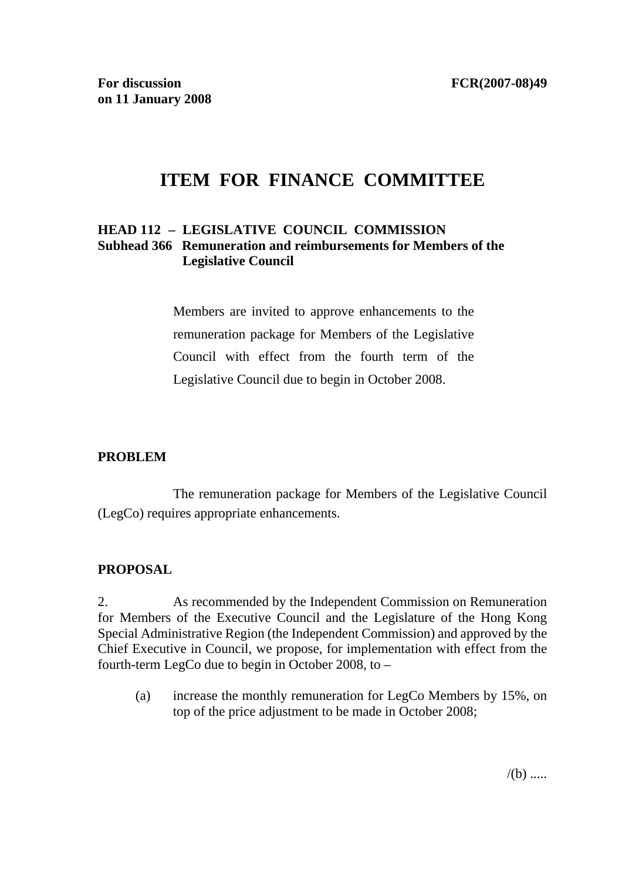# **ITEM FOR FINANCE COMMITTEE**

#### **HEAD 112 – LEGISLATIVE COUNCIL COMMISSION Subhead 366 Remuneration and reimbursements for Members of the Legislative Council**

Members are invited to approve enhancements to the remuneration package for Members of the Legislative Council with effect from the fourth term of the Legislative Council due to begin in October 2008.

#### **PROBLEM**

 The remuneration package for Members of the Legislative Council (LegCo) requires appropriate enhancements.

#### **PROPOSAL**

2. As recommended by the Independent Commission on Remuneration for Members of the Executive Council and the Legislature of the Hong Kong Special Administrative Region (the Independent Commission) and approved by the Chief Executive in Council, we propose, for implementation with effect from the fourth-term LegCo due to begin in October 2008, to –

(a) increase the monthly remuneration for LegCo Members by 15%, on top of the price adjustment to be made in October 2008;

 $/(b)$  .....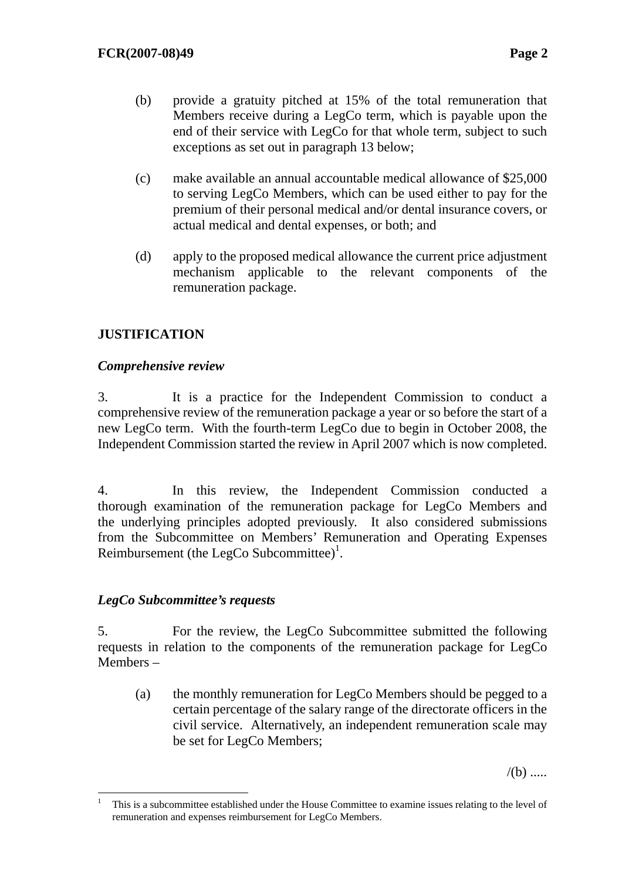- (b) provide a gratuity pitched at 15% of the total remuneration that Members receive during a LegCo term, which is payable upon the end of their service with LegCo for that whole term, subject to such exceptions as set out in paragraph 13 below;
- (c) make available an annual accountable medical allowance of \$25,000 to serving LegCo Members, which can be used either to pay for the premium of their personal medical and/or dental insurance covers, or actual medical and dental expenses, or both; and
- (d) apply to the proposed medical allowance the current price adjustment mechanism applicable to the relevant components of the remuneration package.

# **JUSTIFICATION**

### *Comprehensive review*

3. It is a practice for the Independent Commission to conduct a comprehensive review of the remuneration package a year or so before the start of a new LegCo term. With the fourth-term LegCo due to begin in October 2008, the Independent Commission started the review in April 2007 which is now completed.

4. In this review, the Independent Commission conducted a thorough examination of the remuneration package for LegCo Members and the underlying principles adopted previously. It also considered submissions from the Subcommittee on Members' Remuneration and Operating Expenses Reimbursement (the LegCo Subcommittee)<sup>1</sup>.

# *LegCo Subcommittee's requests*

5. For the review, the LegCo Subcommittee submitted the following requests in relation to the components of the remuneration package for LegCo Members –

(a) the monthly remuneration for LegCo Members should be pegged to a certain percentage of the salary range of the directorate officers in the civil service. Alternatively, an independent remuneration scale may be set for LegCo Members;

 $/(b)$  .....

 $\frac{1}{1}$  This is a subcommittee established under the House Committee to examine issues relating to the level of remuneration and expenses reimbursement for LegCo Members.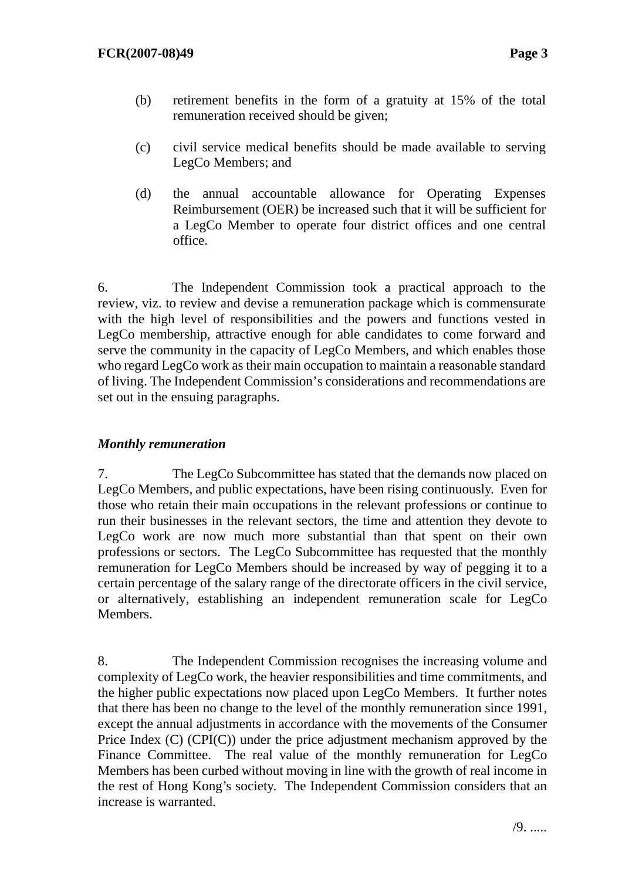- (b) retirement benefits in the form of a gratuity at 15% of the total remuneration received should be given;
- (c) civil service medical benefits should be made available to serving LegCo Members; and
- (d) the annual accountable allowance for Operating Expenses Reimbursement (OER) be increased such that it will be sufficient for a LegCo Member to operate four district offices and one central office.

6. The Independent Commission took a practical approach to the review, viz. to review and devise a remuneration package which is commensurate with the high level of responsibilities and the powers and functions vested in LegCo membership, attractive enough for able candidates to come forward and serve the community in the capacity of LegCo Members, and which enables those who regard LegCo work as their main occupation to maintain a reasonable standard of living. The Independent Commission's considerations and recommendations are set out in the ensuing paragraphs.

## *Monthly remuneration*

7. The LegCo Subcommittee has stated that the demands now placed on LegCo Members, and public expectations, have been rising continuously. Even for those who retain their main occupations in the relevant professions or continue to run their businesses in the relevant sectors, the time and attention they devote to LegCo work are now much more substantial than that spent on their own professions or sectors. The LegCo Subcommittee has requested that the monthly remuneration for LegCo Members should be increased by way of pegging it to a certain percentage of the salary range of the directorate officers in the civil service, or alternatively, establishing an independent remuneration scale for LegCo Members.

8. The Independent Commission recognises the increasing volume and complexity of LegCo work, the heavier responsibilities and time commitments, and the higher public expectations now placed upon LegCo Members. It further notes that there has been no change to the level of the monthly remuneration since 1991, except the annual adjustments in accordance with the movements of the Consumer Price Index (C) (CPI(C)) under the price adjustment mechanism approved by the Finance Committee. The real value of the monthly remuneration for LegCo Members has been curbed without moving in line with the growth of real income in the rest of Hong Kong's society. The Independent Commission considers that an increase is warranted.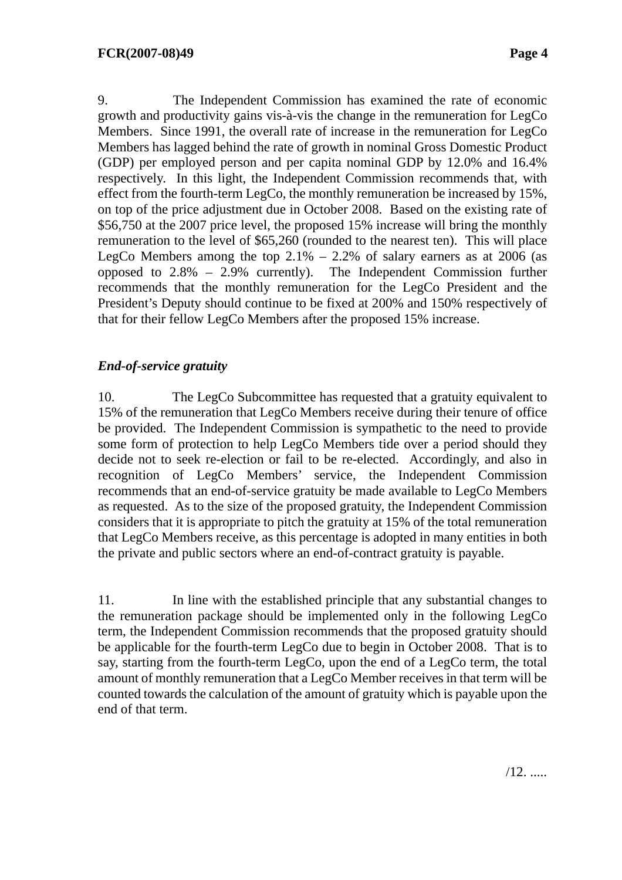9. The Independent Commission has examined the rate of economic growth and productivity gains vis-à-vis the change in the remuneration for LegCo Members. Since 1991, the overall rate of increase in the remuneration for LegCo Members has lagged behind the rate of growth in nominal Gross Domestic Product (GDP) per employed person and per capita nominal GDP by 12.0% and 16.4% respectively. In this light, the Independent Commission recommends that, with effect from the fourth-term LegCo, the monthly remuneration be increased by 15%, on top of the price adjustment due in October 2008. Based on the existing rate of \$56,750 at the 2007 price level, the proposed 15% increase will bring the monthly remuneration to the level of \$65,260 (rounded to the nearest ten). This will place LegCo Members among the top  $2.1\% - 2.2\%$  of salary earners as at 2006 (as opposed to 2.8% – 2.9% currently). The Independent Commission further recommends that the monthly remuneration for the LegCo President and the President's Deputy should continue to be fixed at 200% and 150% respectively of that for their fellow LegCo Members after the proposed 15% increase.

# *End-of-service gratuity*

10. The LegCo Subcommittee has requested that a gratuity equivalent to 15% of the remuneration that LegCo Members receive during their tenure of office be provided. The Independent Commission is sympathetic to the need to provide some form of protection to help LegCo Members tide over a period should they decide not to seek re-election or fail to be re-elected. Accordingly, and also in recognition of LegCo Members' service, the Independent Commission recommends that an end-of-service gratuity be made available to LegCo Members as requested. As to the size of the proposed gratuity, the Independent Commission considers that it is appropriate to pitch the gratuity at 15% of the total remuneration that LegCo Members receive, as this percentage is adopted in many entities in both the private and public sectors where an end-of-contract gratuity is payable.

11. In line with the established principle that any substantial changes to the remuneration package should be implemented only in the following LegCo term, the Independent Commission recommends that the proposed gratuity should be applicable for the fourth-term LegCo due to begin in October 2008. That is to say, starting from the fourth-term LegCo, upon the end of a LegCo term, the total amount of monthly remuneration that a LegCo Member receives in that term will be counted towards the calculation of the amount of gratuity which is payable upon the end of that term.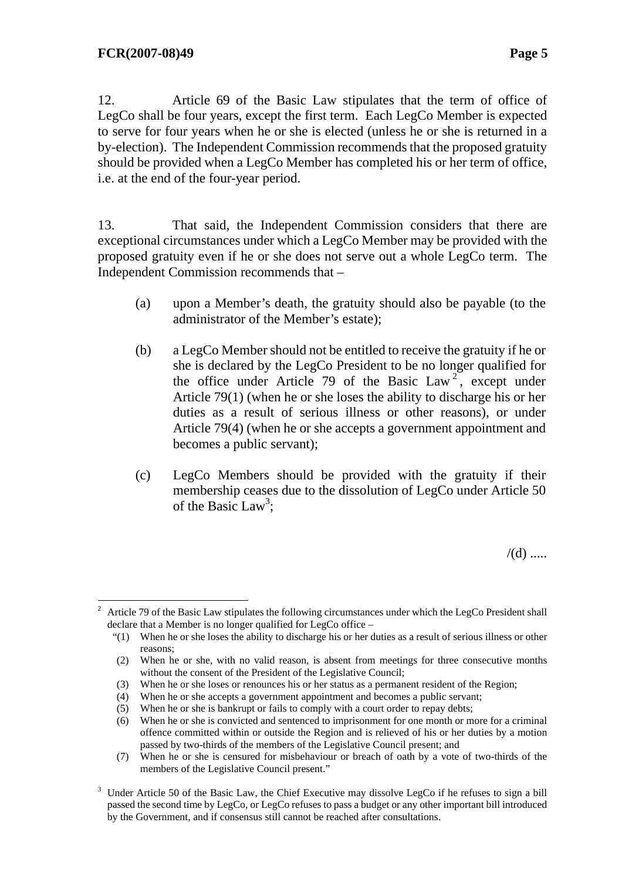12. Article 69 of the Basic Law stipulates that the term of office of LegCo shall be four years, except the first term. Each LegCo Member is expected to serve for four years when he or she is elected (unless he or she is returned in a by-election). The Independent Commission recommends that the proposed gratuity should be provided when a LegCo Member has completed his or her term of office, i.e. at the end of the four-year period.

13. That said, the Independent Commission considers that there are exceptional circumstances under which a LegCo Member may be provided with the proposed gratuity even if he or she does not serve out a whole LegCo term. The Independent Commission recommends that –

- (a) upon a Member's death, the gratuity should also be payable (to the administrator of the Member's estate);
- (b) a LegCo Member should not be entitled to receive the gratuity if he or she is declared by the LegCo President to be no longer qualified for the office under Article 79 of the Basic Law<sup>2</sup>, except under Article 79(1) (when he or she loses the ability to discharge his or her duties as a result of serious illness or other reasons), or under Article 79(4) (when he or she accepts a government appointment and becomes a public servant);
- (c) LegCo Members should be provided with the gratuity if their membership ceases due to the dissolution of LegCo under Article 50 of the Basic Law<sup>3</sup>;

 $/(d)$  .....

 $\overline{a}$ 2 Article 79 of the Basic Law stipulates the following circumstances under which the LegCo President shall declare that a Member is no longer qualified for LegCo office –

 <sup>&</sup>quot;(1) When he or she loses the ability to discharge his or her duties as a result of serious illness or other reasons;

<sup>(2)</sup> When he or she, with no valid reason, is absent from meetings for three consecutive months without the consent of the President of the Legislative Council;

<sup>(3)</sup> When he or she loses or renounces his or her status as a permanent resident of the Region;

<sup>(4)</sup> When he or she accepts a government appointment and becomes a public servant;

<sup>(5)</sup> When he or she is bankrupt or fails to comply with a court order to repay debts;

<sup>(6)</sup> When he or she is convicted and sentenced to imprisonment for one month or more for a criminal offence committed within or outside the Region and is relieved of his or her duties by a motion passed by two-thirds of the members of the Legislative Council present; and

<sup>(7)</sup> When he or she is censured for misbehaviour or breach of oath by a vote of two-thirds of the members of the Legislative Council present."

 $3$  Under Article 50 of the Basic Law, the Chief Executive may dissolve LegCo if he refuses to sign a bill passed the second time by LegCo, or LegCo refuses to pass a budget or any other important bill introduced by the Government, and if consensus still cannot be reached after consultations.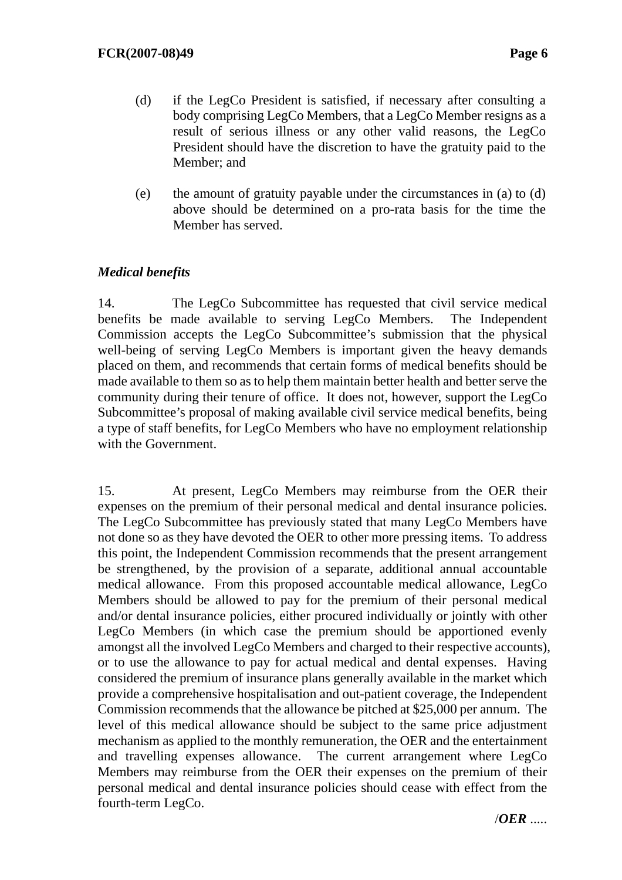- (d) if the LegCo President is satisfied, if necessary after consulting a body comprising LegCo Members, that a LegCo Member resigns as a result of serious illness or any other valid reasons, the LegCo President should have the discretion to have the gratuity paid to the Member; and
- (e) the amount of gratuity payable under the circumstances in (a) to (d) above should be determined on a pro-rata basis for the time the Member has served.

# *Medical benefits*

14. The LegCo Subcommittee has requested that civil service medical benefits be made available to serving LegCo Members. The Independent Commission accepts the LegCo Subcommittee's submission that the physical well-being of serving LegCo Members is important given the heavy demands placed on them, and recommends that certain forms of medical benefits should be made available to them so as to help them maintain better health and better serve the community during their tenure of office. It does not, however, support the LegCo Subcommittee's proposal of making available civil service medical benefits, being a type of staff benefits, for LegCo Members who have no employment relationship with the Government.

15. At present, LegCo Members may reimburse from the OER their expenses on the premium of their personal medical and dental insurance policies. The LegCo Subcommittee has previously stated that many LegCo Members have not done so as they have devoted the OER to other more pressing items. To address this point, the Independent Commission recommends that the present arrangement be strengthened, by the provision of a separate, additional annual accountable medical allowance. From this proposed accountable medical allowance, LegCo Members should be allowed to pay for the premium of their personal medical and/or dental insurance policies, either procured individually or jointly with other LegCo Members (in which case the premium should be apportioned evenly amongst all the involved LegCo Members and charged to their respective accounts), or to use the allowance to pay for actual medical and dental expenses. Having considered the premium of insurance plans generally available in the market which provide a comprehensive hospitalisation and out-patient coverage, the Independent Commission recommends that the allowance be pitched at \$25,000 per annum. The level of this medical allowance should be subject to the same price adjustment mechanism as applied to the monthly remuneration, the OER and the entertainment and travelling expenses allowance. The current arrangement where LegCo Members may reimburse from the OER their expenses on the premium of their personal medical and dental insurance policies should cease with effect from the fourth-term LegCo.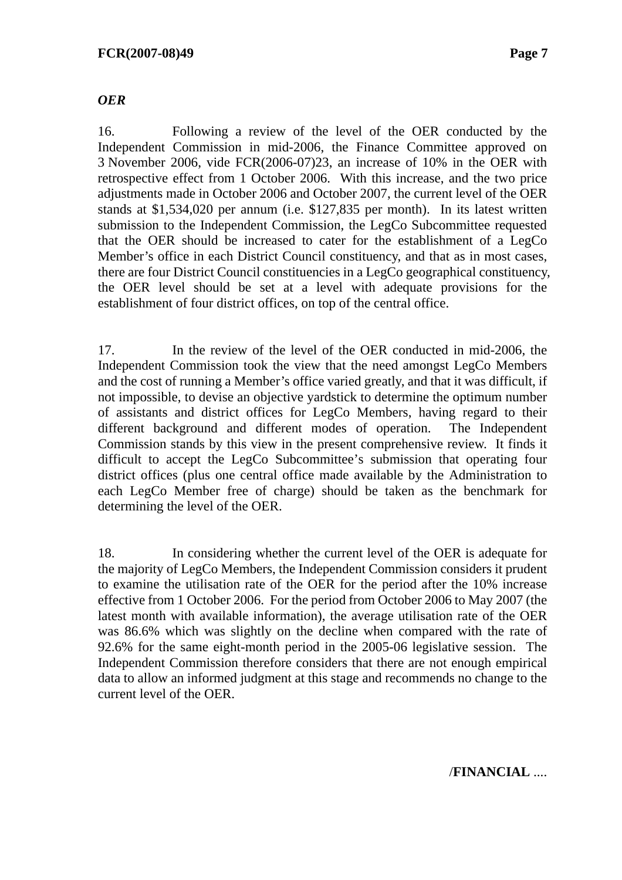#### *OER*

16. Following a review of the level of the OER conducted by the Independent Commission in mid-2006, the Finance Committee approved on 3 November 2006, vide FCR(2006-07)23, an increase of 10% in the OER with retrospective effect from 1 October 2006. With this increase, and the two price adjustments made in October 2006 and October 2007, the current level of the OER stands at \$1,534,020 per annum (i.e. \$127,835 per month). In its latest written submission to the Independent Commission, the LegCo Subcommittee requested that the OER should be increased to cater for the establishment of a LegCo Member's office in each District Council constituency, and that as in most cases, there are four District Council constituencies in a LegCo geographical constituency, the OER level should be set at a level with adequate provisions for the establishment of four district offices, on top of the central office.

17. In the review of the level of the OER conducted in mid-2006, the Independent Commission took the view that the need amongst LegCo Members and the cost of running a Member's office varied greatly, and that it was difficult, if not impossible, to devise an objective yardstick to determine the optimum number of assistants and district offices for LegCo Members, having regard to their different background and different modes of operation. The Independent Commission stands by this view in the present comprehensive review. It finds it difficult to accept the LegCo Subcommittee's submission that operating four district offices (plus one central office made available by the Administration to each LegCo Member free of charge) should be taken as the benchmark for determining the level of the OER.

18. In considering whether the current level of the OER is adequate for the majority of LegCo Members, the Independent Commission considers it prudent to examine the utilisation rate of the OER for the period after the 10% increase effective from 1 October 2006. For the period from October 2006 to May 2007 (the latest month with available information), the average utilisation rate of the OER was 86.6% which was slightly on the decline when compared with the rate of 92.6% for the same eight-month period in the 2005-06 legislative session. The Independent Commission therefore considers that there are not enough empirical data to allow an informed judgment at this stage and recommends no change to the current level of the OER.

/**FINANCIAL** ....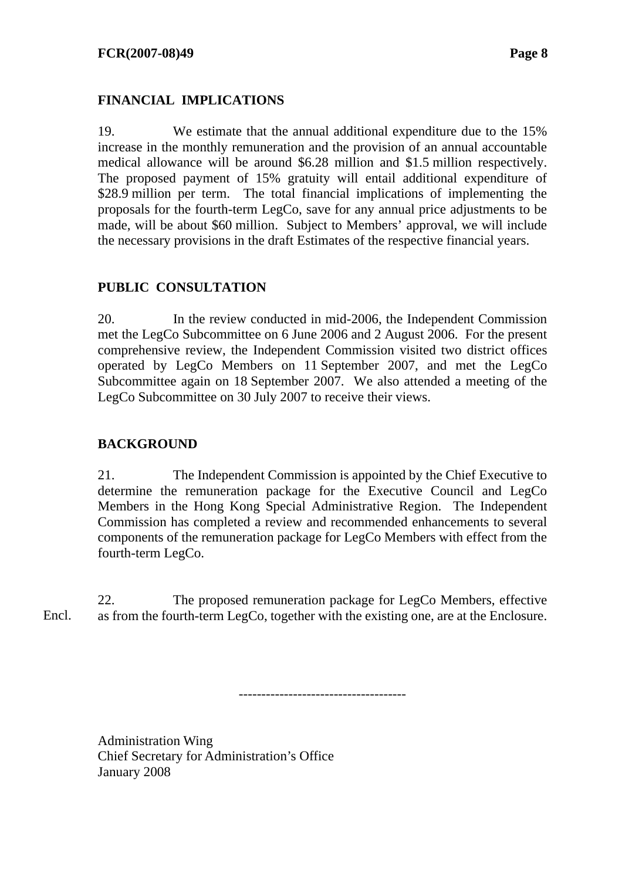### **FINANCIAL IMPLICATIONS**

19. We estimate that the annual additional expenditure due to the 15% increase in the monthly remuneration and the provision of an annual accountable medical allowance will be around \$6.28 million and \$1.5 million respectively. The proposed payment of 15% gratuity will entail additional expenditure of \$28.9 million per term. The total financial implications of implementing the proposals for the fourth-term LegCo, save for any annual price adjustments to be made, will be about \$60 million. Subject to Members' approval, we will include the necessary provisions in the draft Estimates of the respective financial years.

#### **PUBLIC CONSULTATION**

20. In the review conducted in mid-2006, the Independent Commission met the LegCo Subcommittee on 6 June 2006 and 2 August 2006. For the present comprehensive review, the Independent Commission visited two district offices operated by LegCo Members on 11 September 2007, and met the LegCo Subcommittee again on 18 September 2007. We also attended a meeting of the LegCo Subcommittee on 30 July 2007 to receive their views.

#### **BACKGROUND**

21. The Independent Commission is appointed by the Chief Executive to determine the remuneration package for the Executive Council and LegCo Members in the Hong Kong Special Administrative Region. The Independent Commission has completed a review and recommended enhancements to several components of the remuneration package for LegCo Members with effect from the fourth-term LegCo.

22. The proposed remuneration package for LegCo Members, effective as from the fourth-term LegCo, together with the existing one, are at the Enclosure. Encl.

-------------------------------------

Administration Wing Chief Secretary for Administration's Office January 2008